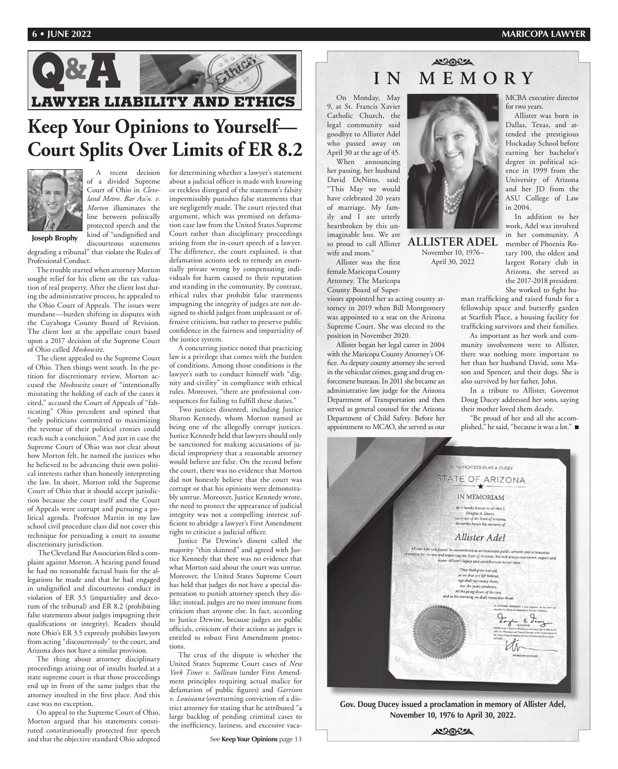



of a divided Supreme Court of Ohio in *Cleveland Metro. Bar Ass'n. v. Morton* illuminates the line between politically protected speech and the kind of "undignified and

**Joseph Brophy**

discourteous statements degrading a tribunal" that violate the Rules of Professional Conduct.

The trouble started when attorney Morton sought relief for his client on the tax valuation of real property. After the client lost during the administrative process, he appealed to the Ohio Court of Appeals. The issues were mundane—burden shifting in disputes with the Cuyahoga County Board of Revision. The client lost at the appellate court based upon a 2017 decision of the Supreme Court of Ohio called *Moskowitz*.

The client appealed to the Supreme Court of Ohio. Then things went south. In the petition for discretionary review, Morton accused the *Moskowitz* court of "intentionally misstating the holding of each of the cases it cited," accused the Court of Appeals of "fabricating" Ohio precedent and opined that "only politicians committed to maximizing the revenue of their political cronies could reach such a conclusion." And just in case the Supreme Court of Ohio was not clear about how Morton felt, he named the justices who he believed to be advancing their own political interests rather than honestly interpreting the law. In short, Morton told the Supreme Court of Ohio that it should accept jurisdiction because the court itself and the Court of Appeals were corrupt and pursuing a political agenda. Professor Martin in my law school civil procedure class did not cover this technique for persuading a court to assume discretionary jurisdiction.

 The Cleveland Bar Association filed a complaint against Morton. A hearing panel found he had no reasonable factual basis for the allegations he made and that he had engaged in undignified and discourteous conduct in violation of ER 3.5 (impartiality and decorum of the tribunal) and ER 8.2 (prohibiting false statements about judges impugning their qualifications or integrity). Readers should note Ohio's ER 3.5 expressly prohibits lawyers from acting "discourteously" to the court, and Arizona does not have a similar provision.

The thing about attorney disciplinary proceedings arising out of insults hurled at a state supreme court is that those proceedings end up in front of the same judges that the attorney insulted in the first place. And this case was no exception.

On appeal to the Supreme Court of Ohio, Morton argued that his statements constituted constitutionally protected free speech and that the objective standard Ohio adopted about a judicial officer is made with knowing or reckless disregard of the statement's falsity impermissibly punishes false statements that are negligently made. The court rejected that argument, which was premised on defamation case law from the United States Supreme Court rather than disciplinary proceedings arising from the in-court speech of a lawyer. The difference, the court explained, is that defamation actions seek to remedy an essentially private wrong by compensating individuals for harm caused to their reputation and standing in the community. By contrast, ethical rules that prohibit false statements impugning the integrity of judges are not designed to shield judges from unpleasant or offensive criticism, but rather to preserve public confidence in the fairness and impartiality of

A concurring justice noted that practicing law is a privilege that comes with the burden of conditions. Among those conditions is the lawyer's oath to conduct himself with "dignity and civility" in compliance with ethical rules. Moreover, "there are professional consequences for failing to fulfill these duties."

the justice system.

Two justices dissented, including Justice Sharon Kennedy, whom Morton named as being one of the allegedly corrupt justices. Justice Kennedy held that lawyers should only be sanctioned for making accusations of judicial impropriety that a reasonable attorney would believe are false. On the record before the court, there was no evidence that Morton did not honestly believe that the court was corrupt or that his opinions were demonstrably untrue. Moreover, Justice Kennedy wrote, the need to protect the appearance of judicial integrity was not a compelling interest sufficient to abridge a lawyer's First Amendment right to criticize a judicial officer.

Justice Pat Dewine's dissent called the majority "thin skinned" and agreed with Justice Kennedy that there was no evidence that what Morton said about the court was untrue. Moreover, the United States Supreme Court has held that judges do not have a special dispensation to punish attorney speech they dislike; instead, judges are no more immune from criticism than anyone else. In fact, according to Justice Dewine, because judges are public officials, criticism of their actions as judges is entitled to robust First Amendment protections.

The crux of the dispute is whether the United States Supreme Court cases of *New York Times v. Sullivan* (under First Amendment principles requiring actual malice for defamation of public figures) and *Garrison v. Louisiana* (overturning conviction of a district attorney for stating that he attributed "a large backlog of pending criminal cases to the inefficiency, laziness, and excessive vaca-

## **IN MEMORY**  $\triangle$ 3000

On Monday, May 9, at St. Francis Xavier Catholic Church, the legal community said goodbye to Allister Adel who passed away on April 30 at the age of 45.

When announcing her passing, her husband David DeNitto, said: "This May we would have celebrated 20 years of marriage. My family and I are utterly heartbroken by this unimaginable loss. We are so proud to call Allister wife and mom."

Allister was the first female Maricopa County Attorney. The Maricopa

County Board of Super-

visors appointed her as acting county attorney in 2019 when Bill Montgomery was appointed to a seat on the Arizona Supreme Court. She was elected to the position in November 2020.

Allister began her legal career in 2004 with the Maricopa County Attorney's Office. As deputy county attorney she served in the vehicular crimes, gang and drug enforcement bureaus. In 2011 she became an administrative law judge for the Arizona Department of Transportation and then served as general counsel for the Arizona Department of Child Safety. Before her appointment to MCAO, she served as our



**ALLISTER ADEL** November 10, 1976–

April 30, 2022

MCBA executive director for two years.

Allister was born in Dallas, Texas, and attended the prestigious Hockaday School before earning her bachelor's degree in political science in 1999 from the University of Arizona and her JD from the ASU College of Law in 2004.

In addition to her work, Adel was involved in her community. A member of Phoenix Rotary 100, the oldest and largest Rotary club in Arizona, she served as the 2017-2018 president. She worked to fight hu-

man trafficking and raised funds for a fellowship space and butterfly garden at Starfish Place, a housing facility for trafficking survivors and their families.

As important as her work and community involvement were to Allister, there was nothing more important to her than her husband David, sons Mason and Spencer, and their dogs. She is also survived by her father, John.

In a tribute to Allister, Governor Doug Ducey addressed her sons, saying their mother loved them dearly.

"Be proud of her and all she accomplished," he said, "because it was a lot." ■



**Gov. Doug Ducey issued a proclamation in memory of Allister Adel, November 10, 1976 to April 30, 2022.**

ACREE